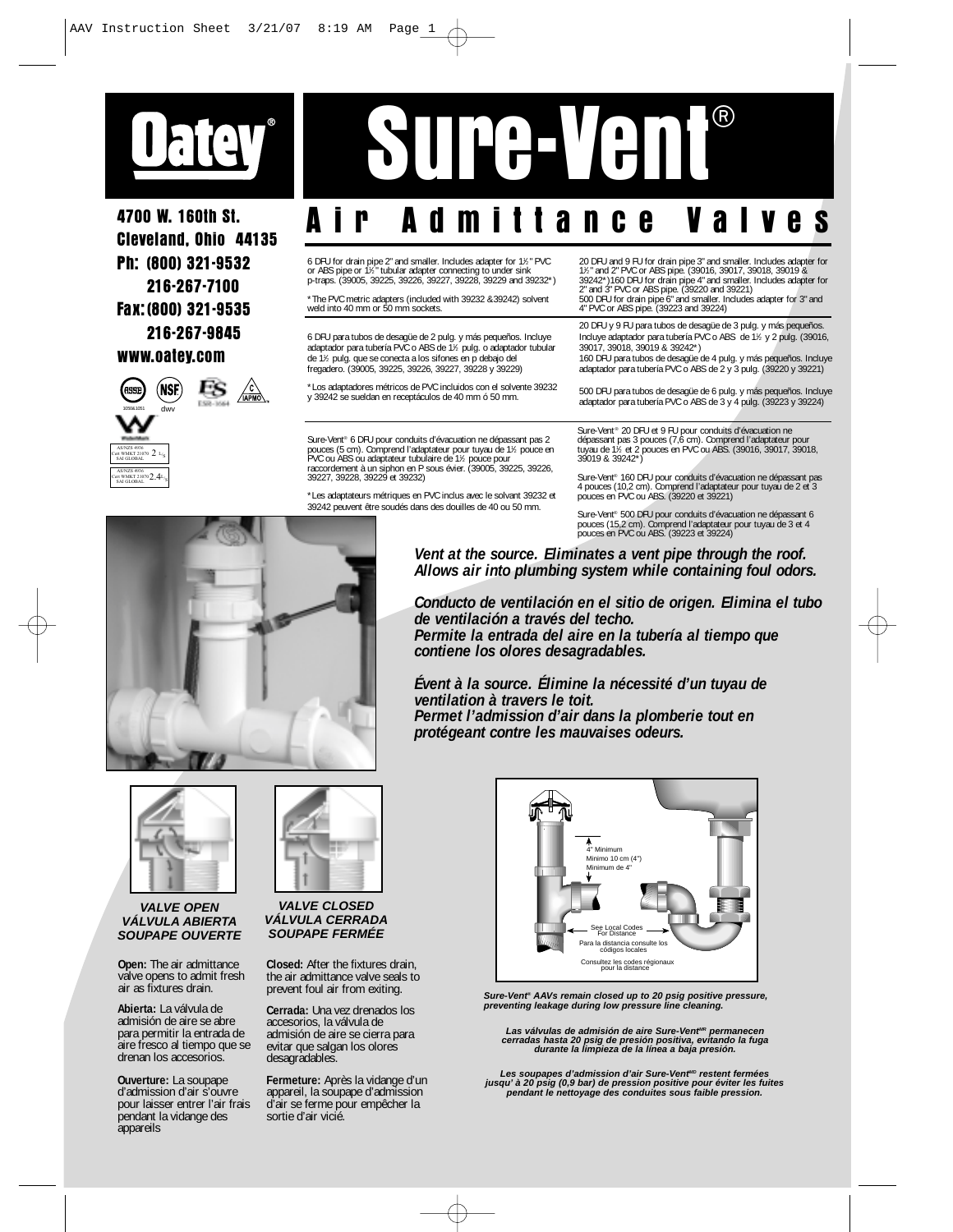

4700 W. 160th St. Cleveland, Ohio 44135 Ph: (800) 321-9532 216-267-7100 Fax:(800) 321-9535 216-267-9845 www.oatey.com



AS/NZS 4936 Cert WMKT 21070  $\mathcal{O}(\Delta)$ 

## Sure-Vent®

## Air Admittance Valves

6 DFU for drain pipe 2" and smaller. Includes adapter for 1½" PVC<br>or ABS pipe or 1½" tubular adapter connecting to under sink<br>p-traps. (39005, 39225, 39226, 39227, 39228, 39229 and 39232\*)

\*The PVC metric adapters (included with 39232 &39242) solvent weld into 40 mm or 50 mm sockets.

6 DFU para tubos de desagüe de 2 pulg. y más pequeños. Incluye adaptador para tubería PVC o ABS de 11 ⁄2 pulg. o adaptador tubular de 11 ⁄2 pulg. que se conecta a los sifones en p debajo del fregadero. (39005, 39225, 39226, 39227, 39228 y 39229)

\*Los adaptadores métricos de PVC incluidos con el solvente 39232 y 39242 se sueldan en receptáculos de 40 mm ó 50 mm.

Sure-Vent® 6 DFU pour conduits d'évacuation ne dépassant pas 2 pouces (5 cm). Comprend l'adaptateur pour tuyau de 1½ pouce en<br>PVC ou ABS ou adaptateur tubulaire de 1½ pouce pour<br>raccordement à un siphon en P sous évier. (39005, 39225, 39226,<br>39227, 39228, 39229 et 39232)

\*Les adaptateurs métriques en PVC inclus avec le solvant 39232 et 39242 peuvent être soudés dans des douilles de 40 ou 50 mm.

20 DFU and 9 FU for drain pipe 3" and smaller. Includes adapter for 1% and 2" PVC or ABS pipe. (39016, 39017, 39018, 39019 & 39242")160 DFU for drain pipe 4" and smaller. Includes adapter for 3" and 3" PVC or ABS pipe. (39

20 DFU y 9 FU para tubos de desagüe de 3 pulg. y más pequeños. Incluye adaptador para tubería PVC o ABS de 11 ⁄2 y 2 pulg. (39016,

39017, 39018, 39019 & 39242\*) 160 DFU para tubos de desagüe de 4 pulg. y más pequeños. Incluye adaptador para tubería PVC o ABS de 2 y 3 pulg. (39220 y 39221)

500 DFU para tubos de desagüe de 6 pulg. y más pequeños. Incluye adaptador para tubería PVC o ABS de 3 y 4 pulg. (39223 y 39224)

Sure-Vent® 20 DFU et 9 FU pour conduits d'évacuation ne<br>dépassant pas 3 pouces (7,6 cm). Comprend l'adaptateur pour<br>tuyau de 1½ et 2 pouces en PVC ou ABS. (39016, 39017, 39018, 39019 & 39242\*)

Sure-Vent® 160 DFU pour conduits d'évacuation ne dépassant pas 4 pouces (10,2 cm). Comprend l'adaptateur pour tuyau de 2 et 3 pouces en PVC ou ABS. (39220 et 39221)

Sure-Vent® 500 DFU pour conduits d'évacuation ne dépassant 6 pouces (15,2 cm). Comprend l'adaptateur pour tuyau de 3 et 4 pouces en PVC ou ABS. (39223 et 39224)



*Vent at the source. Eliminates a vent pipe through the roof. Allows air into plumbing system while containing foul odors.*

*Conducto de ventilación en el sitio de origen. Elimina el tubo de ventilación a través del techo. Permite la entrada del aire en la tubería al tiempo que contiene los olores desagradables.*

*Évent à la source. Élimine la nécessité d'un tuyau de ventilation à travers le toit. Permet l'admission d'air dans la plomberie tout en protégeant contre les mauvaises odeurs.*



**VALVE OPEN VÁLVULA ABIERTA SOUPAPE OUVERTE**

**Open:** The air admittance valve opens to admit fresh air as fixtures drain.

**Abierta:** La válvula de admisión de aire se abre para permitir la entrada de aire fresco al tiempo que se drenan los accesorios.

**Ouverture:** La soupape d'admission d'air s'ouvre pour laisser entrer l'air frais pendant la vidange des appareils



**VALVE CLOSED VÁLVULA CERRADA SOUPAPE FERMÉE**

**Closed:** After the fixtures drain, the air admittance valve seals to prevent foul air from exiting.

**Cerrada:** Una vez drenados los accesorios, la válvula de admisión de aire se cierra para evitar que salgan los olores desagradables.

**Fermeture:** Après la vidange d'un appareil, la soupape d'admission d'air se ferme pour empêcher la sortie d'air vicié.



**Sure-Vent® AAVs remain closed up to 20 psig positive pressure, preventing leakage during low pressure line cleaning.**

Las válvulas de admisión de aire Sure-Vent<sup>ere</sup> permanecen<br>cerradas hasta 20 psig de presión positiva, evitando la fuga<br>durante la limpieza de la línea a baja presión.

Les soupapes d'admission d'air Sure-Vent<sup>ilo</sup> restent fermées<br>jusqu' à 20 psig (0,9 bar) de pression positive pour éviter les fuites<br>pendant le nettoyage des conduites sous faible pression.